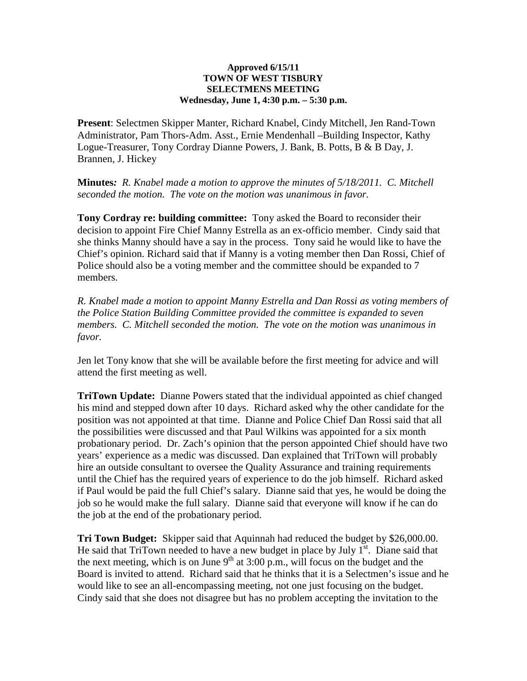## **Approved 6/15/11 TOWN OF WEST TISBURY SELECTMENS MEETING Wednesday, June 1, 4:30 p.m. – 5:30 p.m.**

**Present**: Selectmen Skipper Manter, Richard Knabel, Cindy Mitchell, Jen Rand-Town Administrator, Pam Thors-Adm. Asst., Ernie Mendenhall –Building Inspector, Kathy Logue-Treasurer, Tony Cordray Dianne Powers, J. Bank, B. Potts, B & B Day, J. Brannen, J. Hickey

**Minutes***: R. Knabel made a motion to approve the minutes of 5/18/2011. C. Mitchell seconded the motion. The vote on the motion was unanimous in favor.* 

**Tony Cordray re: building committee:** Tony asked the Board to reconsider their decision to appoint Fire Chief Manny Estrella as an ex-officio member. Cindy said that she thinks Manny should have a say in the process. Tony said he would like to have the Chief's opinion. Richard said that if Manny is a voting member then Dan Rossi, Chief of Police should also be a voting member and the committee should be expanded to 7 members.

*R. Knabel made a motion to appoint Manny Estrella and Dan Rossi as voting members of the Police Station Building Committee provided the committee is expanded to seven members. C. Mitchell seconded the motion. The vote on the motion was unanimous in favor.* 

Jen let Tony know that she will be available before the first meeting for advice and will attend the first meeting as well.

**TriTown Update:** Dianne Powers stated that the individual appointed as chief changed his mind and stepped down after 10 days. Richard asked why the other candidate for the position was not appointed at that time. Dianne and Police Chief Dan Rossi said that all the possibilities were discussed and that Paul Wilkins was appointed for a six month probationary period. Dr. Zach's opinion that the person appointed Chief should have two years' experience as a medic was discussed. Dan explained that TriTown will probably hire an outside consultant to oversee the Quality Assurance and training requirements until the Chief has the required years of experience to do the job himself. Richard asked if Paul would be paid the full Chief's salary. Dianne said that yes, he would be doing the job so he would make the full salary. Dianne said that everyone will know if he can do the job at the end of the probationary period.

**Tri Town Budget:** Skipper said that Aquinnah had reduced the budget by \$26,000.00. He said that TriTown needed to have a new budget in place by July  $I<sup>st</sup>$ . Diane said that the next meeting, which is on June  $9<sup>th</sup>$  at 3:00 p.m., will focus on the budget and the Board is invited to attend. Richard said that he thinks that it is a Selectmen's issue and he would like to see an all-encompassing meeting, not one just focusing on the budget. Cindy said that she does not disagree but has no problem accepting the invitation to the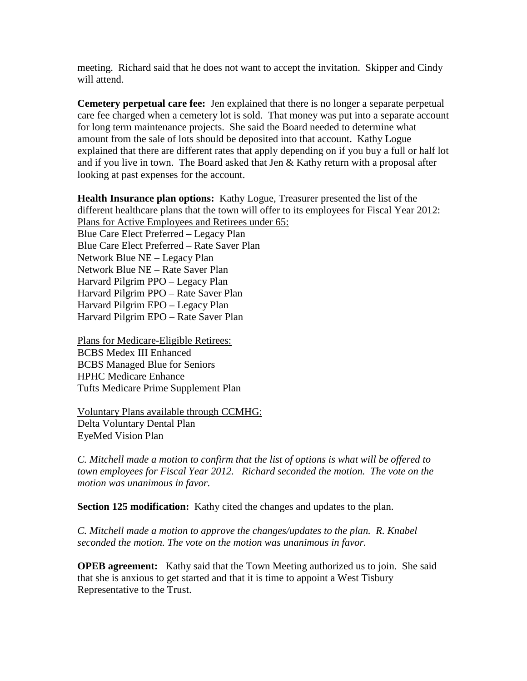meeting. Richard said that he does not want to accept the invitation. Skipper and Cindy will attend.

**Cemetery perpetual care fee:** Jen explained that there is no longer a separate perpetual care fee charged when a cemetery lot is sold. That money was put into a separate account for long term maintenance projects. She said the Board needed to determine what amount from the sale of lots should be deposited into that account. Kathy Logue explained that there are different rates that apply depending on if you buy a full or half lot and if you live in town. The Board asked that Jen  $&$  Kathy return with a proposal after looking at past expenses for the account.

**Health Insurance plan options:** Kathy Logue, Treasurer presented the list of the different healthcare plans that the town will offer to its employees for Fiscal Year 2012: Plans for Active Employees and Retirees under 65: Blue Care Elect Preferred – Legacy Plan Blue Care Elect Preferred – Rate Saver Plan Network Blue NE – Legacy Plan Network Blue NE – Rate Saver Plan Harvard Pilgrim PPO – Legacy Plan Harvard Pilgrim PPO – Rate Saver Plan Harvard Pilgrim EPO – Legacy Plan Harvard Pilgrim EPO – Rate Saver Plan

Plans for Medicare-Eligible Retirees: BCBS Medex III Enhanced BCBS Managed Blue for Seniors HPHC Medicare Enhance Tufts Medicare Prime Supplement Plan

Voluntary Plans available through CCMHG: Delta Voluntary Dental Plan EyeMed Vision Plan

*C. Mitchell made a motion to confirm that the list of options is what will be offered to town employees for Fiscal Year 2012. Richard seconded the motion. The vote on the motion was unanimous in favor.* 

**Section 125 modification:** Kathy cited the changes and updates to the plan.

*C. Mitchell made a motion to approve the changes/updates to the plan. R. Knabel seconded the motion. The vote on the motion was unanimous in favor.* 

**OPEB agreement:** Kathy said that the Town Meeting authorized us to join. She said that she is anxious to get started and that it is time to appoint a West Tisbury Representative to the Trust.